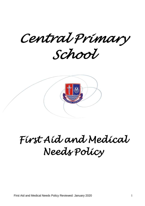*Central Primary School* 



# *First Aid and Medical Needs Policy*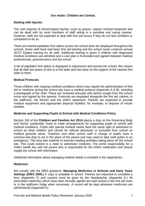# **Our motto: Children are Central.**

# **Dealing with Injuries**

The vast majority of school-based injuries, such as grazes, require minimal treatment and can be dealt with by most members of staff acting in a sensitive and caring manner. However, staff are not expected to deal with first aid issues if they do not feel confident or competent to do so.

There are trained paediatric first aiders across the school (lists are displayed throughout the school). Some staff have had basic first aid training and the school nurse conducts annual JEXT/ Epipen training for all staff. Additional training is given if children with diagnosed medical conditions are admitted and a care plan is formulated and agreed between medical professionals, parents/carers and the school.

A list of paediatric first aiders is displayed in classrooms and around the school, this means that all staff are aware of who is a first aider and can draw on the support of the nearest first aider to them.

## **Medical Protocols**

Those children with ongoing medical conditions which may require the administration of first aid or medicine during the school day have a medical protocol (Appendix A & B), including a photograph of the child. These are reviewed annually with advice sought from the school nurse and signed by the parents. Protocols are displayed alongside the first aid cabinet, in the staffroom, the kitchen and the child's classroom. Parents are expected to provide medical equipment and appropriate disposal facilities; for example, to dispose of insulin needles.

## **Medicine and Supporting Pupils at School with Medical Conditions Policy**

Section 100 of the **Children and Families Act 2014** places a duty on the Governing Body and Senior Leadership Team to make arrangements for supporting pupils at school with medical conditions. Pupils with special medical needs have the same right of admission to school as other children and cannot be refused admission or excluded from school on medical grounds alone. Teachers and other school staff in charge of pupils have a common-law duty to act in the place of the parent and may need to take swift action in an emergency. This duty also extends to teachers leading activities taking place off the school site. This could extend to a need to administer medicine. The prime responsibility for a child's health lies with the parent who is responsible for the child's medication and should supply the school with information.

Additional information about managing medical needs is included in the Appendices.

## **Medicines**

We comply with the DfES guidance, **Managing Medicines in Schools and Early Years Settings (DfES 2005.)** A copy is available in school. Parents are expected to complete a form (Appendix C) and consent must be given by the Headteacher (Appendix D.) All prescribed medicines which have been formally agreed are kept locked in the first aid room or in the staffroom fridge when necessary. A record will be kept whenever medicines are administered (Appendix E).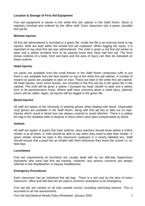# **Location & Storage of First Aid Equipment**

First aid equipment is stored in the white first aid cabinet in the Staff Room. Stock is regularly checked and ordered by the office staff. Each classroom has a green, portable first aid kit.

#### **Minimal injuries**

All first aid administered is recorded in a green file. Inside the file is an exercise book to log injuries. Both are kept within the locked first aid cupboard. When logging the injury, it is important to log what first aid was administered. The child is given a red first aid sticker to wear and a yellow accident form to let parents know they have had first aid. The form shows outlines of a body, front and back and the area of injury can then be indicated on these outlines.

#### **Head Injuries**

Ice packs are available from the small freezer in the Staff Room; protective cuffs to put them in are available from the blue basket on top of the white first aid cabinet. A number of instant ice packs are available to take on trips. These are kept in the white first aid cabinet. All head injuries, even minor bumps, are recorded in the first aid log in the green file in the cabinet. The child will be given a yellow 'I bumped my head' sticker to wear and a yellow form to let parents/carers know. Where staff have concerns about a head injury, parents/ carers will be called. Again, all injuries will be logged in the green file.

#### **Blood Injuries**

All staff are aware of the necessity of wearing gloves when dealing with blood. Disposable vinyl gloves are available in the Staff Room, along with first aid kits to take out on trips. Injuries which result in blood loss are always covered to avoid infection. There is a yellow bin bag in the disabled toilet to dispose of items which have been contaminated by blood.

#### **Asthma**

All staff are aware of pupils that have asthma; class teachers should know where a child's inhaler is at all times. A child should be able to say when they need to take their inhaler. A spare inhaler should be kept in the classroom cupboard in a clearly labelled box. Staff should ensure that a pupil has an inhaler with them whenever they leave the school i.e. on field trips.

#### **Lunchtimes**

First aid requirements at lunchtime are usually dealt with by our Mid-day Supervisory Assistants who have had first aid training. However, any serious concerns are always referred to the Headteacher or Deputy Headteacher.

#### **Emergency Procedures**

Each classroom has an individual first aid bag. There is a red card by the door of every classroom, office and hall that can be used to summon assistance in an emergency.

First aid kits are carried on all trips outside school, including swimming lessons. This is recorded on all risk assessments.

First Aid and Medical Needs Policy Reviewed: January 2020 3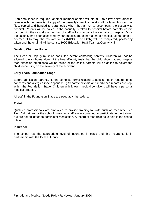If an ambulance is required, another member of staff will dial 999 to allow a first aider to remain with the casualty. A copy of the casualty's medical details will be taken from school files, copied and handed to paramedics when they arrive, to accompany the casualty to hospital. Parents will be called. If the casualty is taken to hospital before parents/ carers can be with the casualty a member of staff will accompany the casualty to hospital. Once the casualty has been assessed by paramedics and either taken to hospital, taken home or deemed fit to stay, the relevant forms (RIDDOR or IDOR) will be completed, photocopy taken and the original will be sent to HCC Education H&S Team at County Hall.

## **Sending Children Home**

The Head or Deputy must be consulted before contacting parents. Children will not be allowed to walk home alone. If the Head/Deputy feels that the child should attend hospital then either an ambulance will be called or the child's parents will be asked to collect the child, depending on the severity of the accident.

#### **Early Years Foundation Stage**

Before admission, parents/ carers complete forms relating to special health requirements, concerns and allergies (see appendix F.) Separate first aid and medicines records are kept within the Foundation Stage. Children with known medical conditions will have a personal medical protocol.

All staff in the Foundation Stage are paediatric first aiders.

#### **Training**

Qualified professionals are employed to provide training to staff, such as recommended First Aid trainers or the school nurse. All staff are encouraged to participate in the training but are not obligated to administer medication. A record of staff training is held in the school office.

#### **Insurance**

The school has the appropriate level of insurance in place and this insurance is in partnership with the local authority.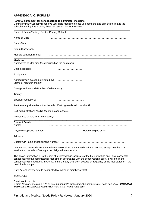# **APPENDIX A/ C: FORM 3A**

#### **Parental agreement for school/setting to administer medicine**

Central Primary School will not give your child medicine unless you complete and sign this form and the school or setting has a policy that staff can administer medicine.

| Name of School/Setting: Central Primary School                            |                                                                                                                                                                                                                                                                                                                                                  |
|---------------------------------------------------------------------------|--------------------------------------------------------------------------------------------------------------------------------------------------------------------------------------------------------------------------------------------------------------------------------------------------------------------------------------------------|
| Name of Child                                                             |                                                                                                                                                                                                                                                                                                                                                  |
| Date of Birth:                                                            |                                                                                                                                                                                                                                                                                                                                                  |
| Group/Class/Form:                                                         |                                                                                                                                                                                                                                                                                                                                                  |
| Medical condition/illness:                                                |                                                                                                                                                                                                                                                                                                                                                  |
| <b>Medicine</b><br>Name/Type of Medicine (as described on the container): |                                                                                                                                                                                                                                                                                                                                                  |
| Date dispensed:                                                           |                                                                                                                                                                                                                                                                                                                                                  |
| Expiry date:                                                              |                                                                                                                                                                                                                                                                                                                                                  |
| Agreed review date to be initiated by:<br>[name of member of staff]:      |                                                                                                                                                                                                                                                                                                                                                  |
|                                                                           |                                                                                                                                                                                                                                                                                                                                                  |
| Timing:                                                                   |                                                                                                                                                                                                                                                                                                                                                  |
| <b>Special Precautions:</b>                                               |                                                                                                                                                                                                                                                                                                                                                  |
|                                                                           |                                                                                                                                                                                                                                                                                                                                                  |
| Self Administration: Yes/No (delete as appropriate)                       |                                                                                                                                                                                                                                                                                                                                                  |
|                                                                           |                                                                                                                                                                                                                                                                                                                                                  |
| <b>Contact Details</b><br>Name:                                           |                                                                                                                                                                                                                                                                                                                                                  |
| Daytime telephone number:                                                 | Relationship to child:                                                                                                                                                                                                                                                                                                                           |
| Address:                                                                  |                                                                                                                                                                                                                                                                                                                                                  |
|                                                                           |                                                                                                                                                                                                                                                                                                                                                  |
| service that the school/setting is not obligated to undertake.            | I understand I must deliver the medicine personally to the named staff member and accept that this is a                                                                                                                                                                                                                                          |
| medicine is stopped.                                                      | The above information is, to the best of my knowledge, accurate at the time of writing and I give consent to<br>school/setting staff administering medicine in accordance with the school/setting policy. I will inform the<br>school/setting immediately, in writing, if there is any change in dosage or frequency of the medication or if the |
|                                                                           |                                                                                                                                                                                                                                                                                                                                                  |
| Signature(s)                                                              |                                                                                                                                                                                                                                                                                                                                                  |
| Relationship to child:                                                    | If more than one medicine is to be given a separate form should be completed for each one. From: MANAGING<br><b>MEDICINES IN SCHOOLS AND EARLY YEARS SETTINGS (DES 2005)</b>                                                                                                                                                                     |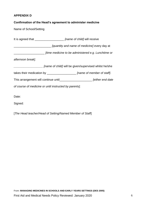# **APPENDIX D**

Signed:

# **Confirmation of the Head's agreement to administer medicine**

Name of School/Setting

It is agreed that \_\_\_\_\_\_\_\_\_\_\_\_\_\_\_\_\_\_ *[name of child]* will receive \_\_\_\_\_\_\_\_\_\_\_\_\_\_\_\_\_\_\_\_\_\_\_ *[quantity and name of medicine]* every day at \_\_\_\_\_\_\_\_\_\_\_\_\_\_\_\_\_\_\_ *[time medicine to be administered e.g. Lunchtime or afternoon break]*. *[name of child]* will be given/supervised whilst he/she takes their medication by \_\_\_\_\_\_\_\_\_\_\_\_\_\_\_\_\_\_ *[name of member of staff]*. This arrangement will continue until\_\_\_\_\_\_\_\_\_\_\_\_\_\_\_\_\_\_\_\_ *[either end date of course of medicine or until instructed by parents].* Date:

[*The Head teacher/Head of Setting/Named Member of Staff*]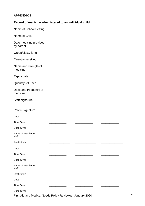# **APPENDIX E**

## **Record of medicine administered to an individual child**

Name of School/Setting

Name of Child

Date medicine provided by parent

Group/class/ form

Quantity received

Name and strength of medicine

Expiry date

Quantity returned

Dose and frequency of medicine

Staff signature

# Parent signature

| Date                       |  |  |
|----------------------------|--|--|
| <b>Time Given</b>          |  |  |
| Dose Given                 |  |  |
| Name of member of<br>staff |  |  |
| Staff initials             |  |  |
| Date                       |  |  |
| <b>Time Given</b>          |  |  |
| Dose Given                 |  |  |
| Name of member of<br>staff |  |  |
| <b>Staff initials</b>      |  |  |
| Date                       |  |  |
| <b>Time Given</b>          |  |  |
| Dose Given                 |  |  |

First Aid and Medical Needs Policy Reviewed: January 2020 7 7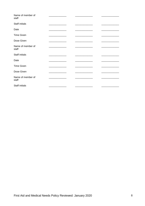| Name of member of<br>staff |  |  |  |
|----------------------------|--|--|--|
| Staff initials             |  |  |  |
| Date                       |  |  |  |
| <b>Time Given</b>          |  |  |  |
| Dose Given                 |  |  |  |
| Name of member of<br>staff |  |  |  |
| Staff initials             |  |  |  |
| Date                       |  |  |  |
| <b>Time Given</b>          |  |  |  |
| Dose Given                 |  |  |  |
| Name of member of<br>staff |  |  |  |
| Staff initials             |  |  |  |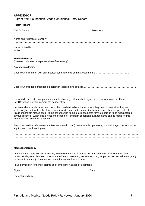| <b>APPENDIX F</b><br>Extract from Foundation Stage Confidential Entry Record                                                                                                                                                                                                                                                                                                                                                                                                                 |
|----------------------------------------------------------------------------------------------------------------------------------------------------------------------------------------------------------------------------------------------------------------------------------------------------------------------------------------------------------------------------------------------------------------------------------------------------------------------------------------------|
| <b>Health Record</b>                                                                                                                                                                                                                                                                                                                                                                                                                                                                         |
|                                                                                                                                                                                                                                                                                                                                                                                                                                                                                              |
| Name and Address of Surgery                                                                                                                                                                                                                                                                                                                                                                                                                                                                  |
| Name of Health                                                                                                                                                                                                                                                                                                                                                                                                                                                                               |
| <b>Medical History</b><br>(please continue on a separate sheet if necessary)                                                                                                                                                                                                                                                                                                                                                                                                                 |
|                                                                                                                                                                                                                                                                                                                                                                                                                                                                                              |
|                                                                                                                                                                                                                                                                                                                                                                                                                                                                                              |
|                                                                                                                                                                                                                                                                                                                                                                                                                                                                                              |
|                                                                                                                                                                                                                                                                                                                                                                                                                                                                                              |
|                                                                                                                                                                                                                                                                                                                                                                                                                                                                                              |
| If your child needs to take prescribed medication (eg asthma inhaler) you must complete a medical from<br>(MED1) which is available from the school office.                                                                                                                                                                                                                                                                                                                                  |
| In cases where pupils have been prescribed medication by a doctor, which they need to take after they are<br>well enough to return to school, we ask parents to come in to administer this medicine wherever possible. If<br>this is impossible please speak to the school office to make arrangements for the medicine to be administered<br>in your absence. When pupils need medication for long term conditions, arrangements can be made for this<br>after speaking to the headteacher. |
| Any other medical information you feel we should know (please include operations, hospital stays, concerns about<br>sight, speech and hearing etc)                                                                                                                                                                                                                                                                                                                                           |
|                                                                                                                                                                                                                                                                                                                                                                                                                                                                                              |
|                                                                                                                                                                                                                                                                                                                                                                                                                                                                                              |
|                                                                                                                                                                                                                                                                                                                                                                                                                                                                                              |
| <b>Medical emergency</b>                                                                                                                                                                                                                                                                                                                                                                                                                                                                     |
| In the event of more serious incidents, which we think might require hospital treatment or advice from other<br>professionals, we will contact parents immediately. However, we also require your permission to seek emergency<br>advice or treatment just in case we can not make contact with you.                                                                                                                                                                                         |
| I give permission for school staff to seek emergency advice or treatment:                                                                                                                                                                                                                                                                                                                                                                                                                    |
|                                                                                                                                                                                                                                                                                                                                                                                                                                                                                              |
| (Parent/guardian)                                                                                                                                                                                                                                                                                                                                                                                                                                                                            |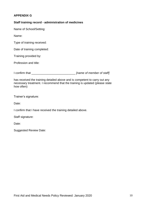# **APPENDIX G**

## **Staff training record - administration of medicines**

Name of School/Setting:

Name:

Type of training received:

Date of training completed:

Training provided by:

Profession and title:

I confirm that \_\_\_\_\_\_\_\_\_\_\_\_\_\_\_\_\_\_\_\_\_\_\_\_\_\_\_ *[name of member of staff]*

has received the training detailed above and is competent to carry out any necessary treatment. I recommend that the training is updated (please state how often)

Trainer's signature:

Date:

I confirm that I have received the training detailed above.

Staff signature:

Date:

Suggested Review Date: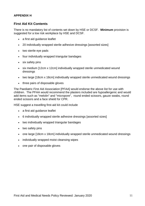# **APPENDIX H**

# **First Aid Kit Contents**

There is no mandatory list of contents set down by HSE or DCSF. **Minimum** provision is suggested for a low risk workplace by HSE and DCSF.

- a first aid guidance leaflet
- 20 individually wrapped sterile adhesive dressings [assorted sizes]
- two sterile eye pads
- four individually wrapped triangular bandages
- six safety pins
- six medium [12cm x 12cm] individually wrapped sterile unmedicated wound dressings
- two large [18cm x 18cm] individually wrapped sterile unmedicated wound dressings
- three pairs of disposable gloves

The Paediatric First Aid Association [PFAA] would endorse the above list for use with children. The PFAA would recommend the plasters included are hypoallergenic and would add items such as "melolin" and "micropore", round ended scissors, gauze swabs, round ended scissors and a face shield for CPR.

HSE suggest a travelling first-aid kit could include

- a first aid guidance leaflet
- 6 individually wrapped sterile adhesive dressings [assorted sizes]
- two individually wrapped triangular bandages
- two safety pins
- one large [18cm x 18cm] individually wrapped sterile unmedicated wound dressings
- individually wrapped moist cleansing wipes
- one pair of disposable gloves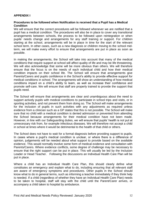# **APPENDIX I**

## **Procedures to be followed when Notification is received that a Pupil has a Medical Condition**

We will ensure that the correct procedures will be followed whenever we are notified that a pupil has a medical condition. The procedures will also be in place to cover any transitional arrangements between schools, the process to be followed upon reintegration or when pupils' needs change and arrangements for any staff training or support. For children starting at the school, arrangements will be in place in time for the start of the relevant school term. In other cases, such as a new diagnosis or children moving to the school midterm, we will make every effort to ensure that arrangements are put in place as soon as possible.

In making the arrangements, the School will take into account that many of the medical conditions that require support at school will affect quality of life and may be life threatening. We will also acknowledge that some will be more obvious than others. We will therefore ensure that the focus is on the needs of each individual child and how their medical condition impacts on their school life. The School will ensure that arrangements give Parents/Carers and pupils confidence in the School's ability to provide effective support for medical conditions in school. The arrangements will show an understanding of how medical conditions impact on a child's ability to learn, as well as increase their confidence and promote self-care. We will ensure that staff are properly trained to provide the support that pupils need.

The School will ensure that arrangements are clear and unambiguous about the need to support actively pupils with medical conditions to participate in school trips and visits, or in sporting activities, and not prevent them from doing so. The School will make arrangements for the inclusion of pupils in such activities with any adjustments as required unless evidence from a clinician such as a GP states that this is not possible. The School will make sure that no child with a medical condition is denied admission or prevented from attending the School because arrangements for their medical condition have not been made. However, in line with our Safeguarding duties, we will ensure that pupils' health is not put at unnecessary risk from, for example infectious diseases. We will therefore not accept a child in school at times where it would be detrimental to the health of that child or others.

The School does not have to wait for a formal diagnosis before providing support to pupils. In cases where a pupil's medical condition is unclear, or where there is a difference of opinion, judgements will be needed about what support to provide based on the available evidence. This would normally involve some form of medical evidence and consultation with Parents/Carers. Where evidence conflicts, some degree of challenge may be necessary to ensure that the right support can be put in place. This will usually be led by the Inclusion Leader or Head Teacher. Following the discussions an Individual Health Care Plan will be put in place.

Where a child has an Individual Health Care Plan, this should clearly define what constitutes an emergency and explain what to do, including ensuring that all relevant staff are aware of emergency symptoms and procedures. Other pupils in the School should know what to do in general terms, such as informing a teacher immediately if they think help is needed. If a child (regardless of whether they have an Individual Health Care Plan) needs to be taken to hospital, staff will stay with the child until the Parent/Carer arrives, or accompany a child taken to hospital by ambulance.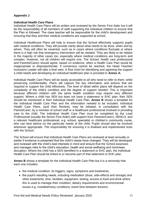# **Appendix J**

# **Individual Health Care Plans**

Individual Health Care Plans will be written and reviewed by the Senior First Aider but it will be the responsibility of all members of staff supporting the individual children to ensure that the Plan is followed. The class teacher will be responsible for the child's development and ensuring that they and their medical conditions are supported at school.

Individual Healthcare Plans will help to ensure that the School effectively supports pupils with medical conditions. They will provide clarity about what needs to be done, when and by whom. They will often be essential, such as in cases where conditions fluctuate or where there is a high risk that emergency intervention will be needed. They are likely to be helpful in the majority of other cases too, especially where medical conditions are long-term and complex. However, not all children will require one. The School, health care professional and Parents/Carers should agree, based on evidence, when a Health Care Plan would be inappropriate or disproportionate. If consensus cannot be reached, the Head Teacher/ Inclusions Leader will take a final view. A flow chart for identifying and agreeing the support a child needs and developing an individual healthcare plan is provided in **Annex A.**

Individual Health Care Plans will be easily accessible to all who need to refer to them, while preserving confidentiality. Plans will capture the key information and actions that are required to support the child effectively. The level of detail within plans will depend on the complexity of the child's condition and the degree of support needed. This is important because different children with the same health condition may require very different support. Where a child has SEN but does not have a statement or EHC plan, their SEN should be mentioned in their Individual Health Care Plan. **Annex B** shows a template for the Individual Health Care Plan and the information needed to be included. Individual Health Care Plans, (and their Review), may be initiated, in consultation with the Parent/Carer, by a member of school staff or a healthcare professional involved in providing care to the child. The Individual Health Care Plan must be completed by the Lead Professional (usually the Senior First Aider) with support from Parents/Carers, SENCO, and a relevant healthcare professional, e.g. school, specialist or children's community nurse, who can best advice on the particular needs of the child. Pupils should also be involved whenever appropriate. The responsibility for ensuring it is finalised and implemented rests with the School.

The School will ensure that Individual Health Care Plans are reviewed at least annually or earlier if evidence is presented that the child's needs have changed. They will be developed and reviewed with the child's best interests in mind and ensure that the School assesses and manages risks to the child's education, health and social wellbeing and minimises disruption. Where the child has a SEN identified in a statement or EHC plan, the Individual Health Care Plan should be linked to or become part of that statement or EHC plan.

**Annex B** shows a template for the Individual Health Care Plan but it is a necessity that each one includes:

- the medical condition, its triggers, signs, symptoms and treatments;
- the pupil's resulting needs, including medication (dose, side-effects and storage) and other treatments, time, facilities, equipment, testing, access to food and drink where this is used to manage their condition, dietary requirements and environmental issues e.g. crowded/noisy conditions, travel time between lessons;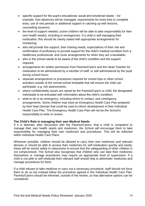- specific support for the pupil's educational, social and emotional needs for example, how absences will be managed, requirements for extra time to complete tests, use of rest periods or additional support in catching up with lessons, counselling sessions;
- the level of support needed, (some children will be able to take responsibility for their own health needs), including in emergencies. If a child is self-managing their medication, this should be clearly stated with appropriate arrangements for monitoring;
- who will provide this support, their training needs, expectations of their role and confirmation of proficiency to provide support for the child's medical condition from a healthcare professional; and cover arrangements for when they are unavailable;
- who in the school needs to be aware of the child's condition and the support required;
- arrangements for written permission from Parents/Carers and the Head Teacher for medication to be administered by a member of staff, or self-administered by the pupil during school hours;
- separate arrangements or procedures required for school trips or other school activities outside of the normal school timetable that will ensure the child can participate, e.g. risk assessments;
- where confidentiality issues are raised by the Parents/Carers or child, the designated individuals to be entrusted with information about the child's condition;
- what to do in an emergency, including whom to contact, and contingency arrangements. Some children may have an Emergency Health Care Plan prepared by their lead clinician that could be used to inform development of their Individual Health Care Plan. The Emergency Health Care Plan will not be the School's responsibility to write or review.

# **The Child's Role in managing their own Medical Needs**

If it is deemed, after discussion with the Parents/Carers, that a child is competent to manage their own health needs and medicines, the School will encourage them to take responsibility for managing their own medicines and procedures. This will be reflected within Individual Health Care Plans.

Wherever possible, children should be allowed to carry their own medicines and relevant devices or should be able to access their medicines for self-medication quickly and easily; these will be stored safely in classrooms to ensure that the safeguarding of other children is not compromised. The School also recognises that children who can take their medicines themselves or manage procedures may require an appropriate level of supervision. If a child is not able to self-medicate then relevant staff should help to administer medicines and manage procedures for them.

If a child refuses to take medicine or carry out a necessary procedure, staff should not force them to do so but instead follow the procedure agreed in the Individual Health Care Plan. Parents/Carers should be informed, outside of the review, so that alternative options can be considered.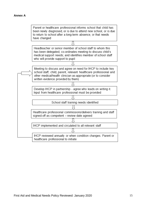## **Annex A**

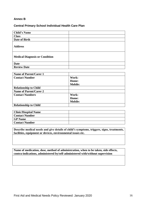# **Annex B**

## **Central Primary School Individual Health Care Plan**

| <b>Child's Name</b>                   |  |
|---------------------------------------|--|
| <b>Class</b>                          |  |
| Date of Birth                         |  |
| <b>Address</b>                        |  |
| <b>Medical Diagnosis or Condition</b> |  |
| <b>Date</b>                           |  |
| <b>Review Date</b>                    |  |

| <b>Name of Parent/Carer 1</b> |                |
|-------------------------------|----------------|
| <b>Contact Number</b>         | Work:          |
|                               | Home:          |
|                               | <b>Mobile:</b> |
| <b>Relationship to Child</b>  |                |
| <b>Name of Parent/Carer 2</b> |                |
| <b>Contact Numbers</b>        | Work:          |
|                               | Home:          |
|                               | <b>Mobile:</b> |
| <b>Relationship to Child</b>  |                |

| <b>Clinic/Hospital Name</b> |  |
|-----------------------------|--|
| <b>Contact Number</b>       |  |
| <b>GP</b> Name              |  |
| <b>Contact Number</b>       |  |

**Describe medical needs and give details of child's symptoms, triggers, signs, treatments, facilities, equipment or devices, environmental issues etc.**

**Name of medication, dose, method of administration, when to be taken, side effects, contra-indications, administered by/self-administered with/without supervision**